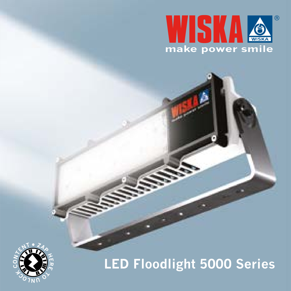



**LED Floodlight 5000 Series**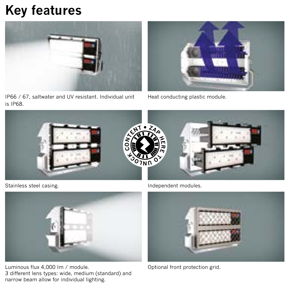## **Key features**



IP66 / 67, saltwater and UV resistant. Individual unit is IP68.



Heat conducting plastic module.



Stainless steel casing.



Luminous flux 4,000 Im / module. 3 different lens types: wide, medium (standard) and narrow beam allow for individual lighting.

Independent modules.



Optional front protection grid.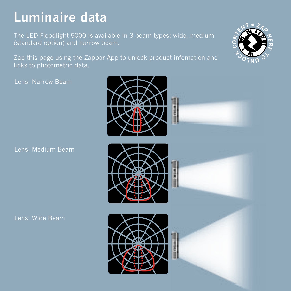# **Luminaire data**

(standard option) and narrow beam.

Zap this page using the Zappar App to unlock product infomation and links to photometric data.

Lens: Narrow Beam

Lens: Medium Beam

Lens: Wide Beam





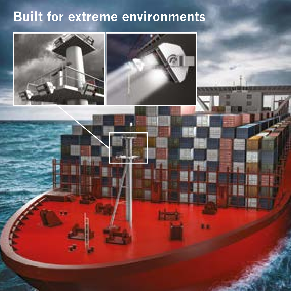# **Built for extreme environments**



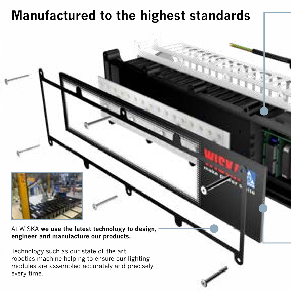### **Manufactured to the highest standards**



At WISKA **we use the latest technology to design, engineer and manufacture our products.**

Technology such as our state of the art robotics machine helping to ensure our lighting modules are assembled accurately and precisely every time.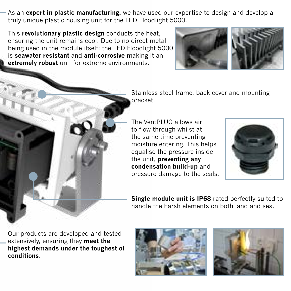As an **expert in plastic manufacturing,** we have used our expertise to design and develop a truly unique plastic housing unit for the LED Floodlight 5000.

This **revolutionary plastic design** conducts the heat, ensuring the unit remains cool. Due to no direct metal being used in the module itself: the LED Floodlight 5000 is **seawater resistant** and **anti-corrosive** making it an **extremely robust** unit for extreme environments.





Stainless steel frame, back cover and mounting bracket.

The VentPLUG allows air to flow through whilst at the same time preventing moisture entering. This helps equalise the pressure inside the unit, **preventing any condensation build-up** and pressure damage to the seals.



**Single module unit is IP68** rated perfectly suited to handle the harsh elements on both land and sea.

Our products are developed and tested extensively, ensuring they **meet the highest demands under the toughest of conditions**.



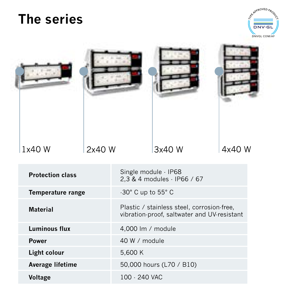### **The series**



|  | 1x40 W                                                                                                  | 2x40W |                                                                                           | 3x40 W | 4x40 W |
|--|---------------------------------------------------------------------------------------------------------|-------|-------------------------------------------------------------------------------------------|--------|--------|
|  | <b>Protection class</b><br><b>Temperature range</b><br><b>Material</b><br><b>Luminous flux</b><br>Power |       | Single module - IP68<br>2.3 & 4 modules - IP66 / 67                                       |        |        |
|  |                                                                                                         |       | -30° C up to 55° C                                                                        |        |        |
|  |                                                                                                         |       | Plastic / stainless steel, corrosion-free,<br>vibration-proof, saltwater and UV-resistant |        |        |
|  |                                                                                                         |       | 4,000 lm / module                                                                         |        |        |
|  |                                                                                                         |       | 40 W / module                                                                             |        |        |
|  | Light colour                                                                                            |       | 5,600 K                                                                                   |        |        |
|  | Average lifetime                                                                                        |       | 50,000 hours (L70 / B10)                                                                  |        |        |
|  | Voltage                                                                                                 |       | 100 - 240 VAC                                                                             |        |        |